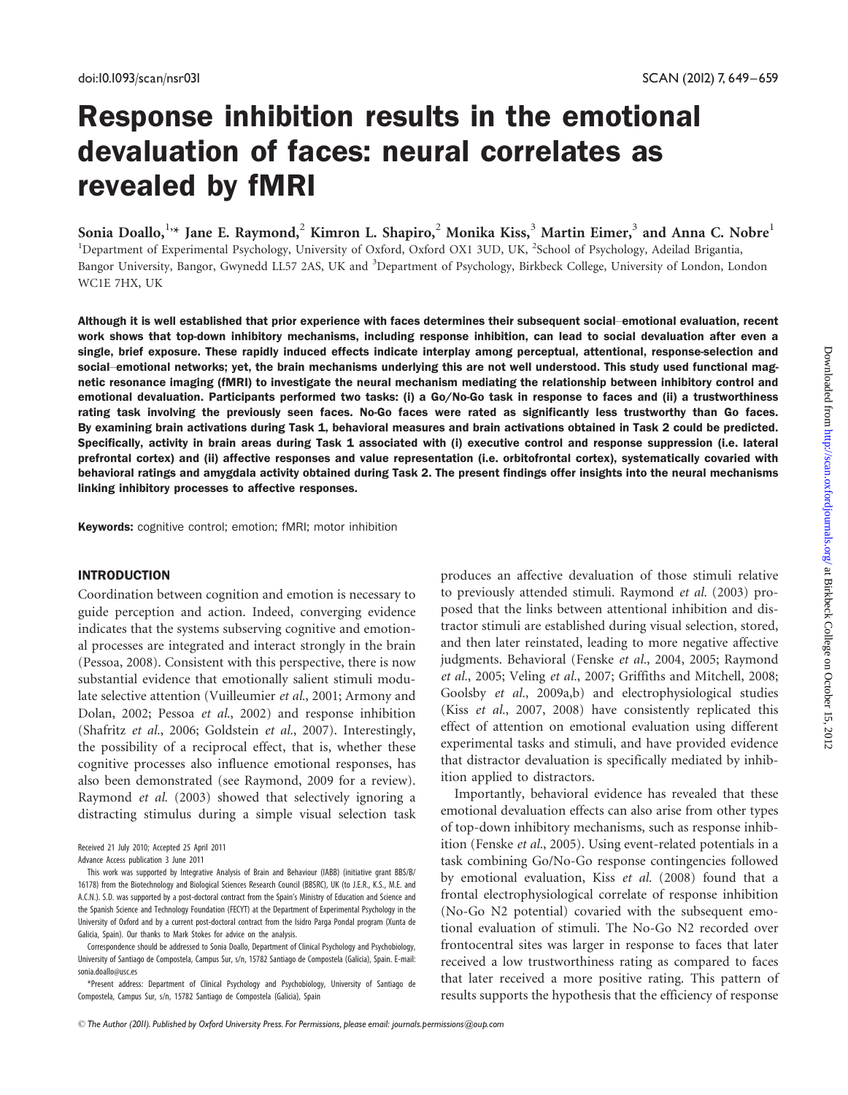# Response inhibition results in the emotional devaluation of faces: neural correlates as revealed by fMRI

Sonia Doallo,  $^{1,*}$  Jane E. Raymond,  $^{2}$  Kimron L. Shapiro,  $^{2}$  Monika Kiss,  $^{3}$  Martin Eimer,  $^{3}$  and Anna C. Nobre  $^{1}$ <sup>1</sup>Department of Experimental Psychology, University of Oxford, Oxford OX1 3UD, UK, <sup>2</sup>School of Psychology, Adeilad Brigantia, Bangor University, Bangor, Gwynedd LL57 2AS, UK and <sup>3</sup>Department of Psychology, Birkbeck College, University of London, London WC1E 7HX, UK

Although it is well established that prior experience with faces determines their subsequent social–emotional evaluation, recent work shows that top-down inhibitory mechanisms, including response inhibition, can lead to social devaluation after even a single, brief exposure. These rapidly induced effects indicate interplay among perceptual, attentional, response-selection and social–emotional networks; yet, the brain mechanisms underlying this are not well understood. This study used functional magnetic resonance imaging (fMRI) to investigate the neural mechanism mediating the relationship between inhibitory control and emotional devaluation. Participants performed two tasks: (i) a Go/No-Go task in response to faces and (ii) a trustworthiness rating task involving the previously seen faces. No-Go faces were rated as significantly less trustworthy than Go faces. By examining brain activations during Task 1, behavioral measures and brain activations obtained in Task 2 could be predicted. Specifically, activity in brain areas during Task 1 associated with (i) executive control and response suppression (i.e. lateral prefrontal cortex) and (ii) affective responses and value representation (i.e. orbitofrontal cortex), systematically covaried with behavioral ratings and amygdala activity obtained during Task 2. The present findings offer insights into the neural mechanisms linking inhibitory processes to affective responses.

Keywords: cognitive control; emotion; fMRI; motor inhibition

# **INTRODUCTION**

Coordination between cognition and emotion is necessary to guide perception and action. Indeed, converging evidence indicates that the systems subserving cognitive and emotional processes are integrated and interact strongly in the brain (Pessoa, 2008). Consistent with this perspective, there is now substantial evidence that emotionally salient stimuli modulate selective attention (Vuilleumier et al., 2001; Armony and Dolan, 2002; Pessoa et al., 2002) and response inhibition (Shafritz et al., 2006; Goldstein et al., 2007). Interestingly, the possibility of a reciprocal effect, that is, whether these cognitive processes also influence emotional responses, has also been demonstrated (see Raymond, 2009 for a review). Raymond et al. (2003) showed that selectively ignoring a distracting stimulus during a simple visual selection task

Correspondence should be addressed to Sonia Doallo, Department of Clinical Psychology and Psychobiology, University of Santiago de Compostela, Campus Sur, s/n, 15782 Santiago de Compostela (Galicia), Spain. E-mail: sonia.doallo@usc.es

\*Present address: Department of Clinical Psychology and Psychobiology, University of Santiago de Compostela, Campus Sur, s/n, 15782 Santiago de Compostela (Galicia), Spain

produces an affective devaluation of those stimuli relative to previously attended stimuli. Raymond et al. (2003) proposed that the links between attentional inhibition and distractor stimuli are established during visual selection, stored, and then later reinstated, leading to more negative affective judgments. Behavioral (Fenske et al., 2004, 2005; Raymond et al., 2005; Veling et al., 2007; Griffiths and Mitchell, 2008; Goolsby et al., 2009a,b) and electrophysiological studies (Kiss et al., 2007, 2008) have consistently replicated this effect of attention on emotional evaluation using different experimental tasks and stimuli, and have provided evidence that distractor devaluation is specifically mediated by inhibition applied to distractors.

Importantly, behavioral evidence has revealed that these emotional devaluation effects can also arise from other types of top-down inhibitory mechanisms, such as response inhibition (Fenske et al., 2005). Using event-related potentials in a task combining Go/No-Go response contingencies followed by emotional evaluation, Kiss et al. (2008) found that a frontal electrophysiological correlate of response inhibition (No-Go N2 potential) covaried with the subsequent emotional evaluation of stimuli. The No-Go N2 recorded over frontocentral sites was larger in response to faces that later received a low trustworthiness rating as compared to faces that later received a more positive rating. This pattern of results supports the hypothesis that the efficiency of response

Received 21 July 2010; Accepted 25 April 2011

Advance Access publication 3 June 2011

This work was supported by Integrative Analysis of Brain and Behaviour (IABB) (initiative grant BBS/B/ 16178) from the Biotechnology and Biological Sciences Research Council (BBSRC), UK (to J.E.R., K.S., M.E. and A.C.N.). S.D. was supported by a post-doctoral contract from the Spain's Ministry of Education and Science and the Spanish Science and Technology Foundation (FECYT) at the Department of Experimental Psychology in the University of Oxford and by a current post-doctoral contract from the Isidro Parga Pondal program (Xunta de Galicia, Spain). Our thanks to Mark Stokes for advice on the analysis.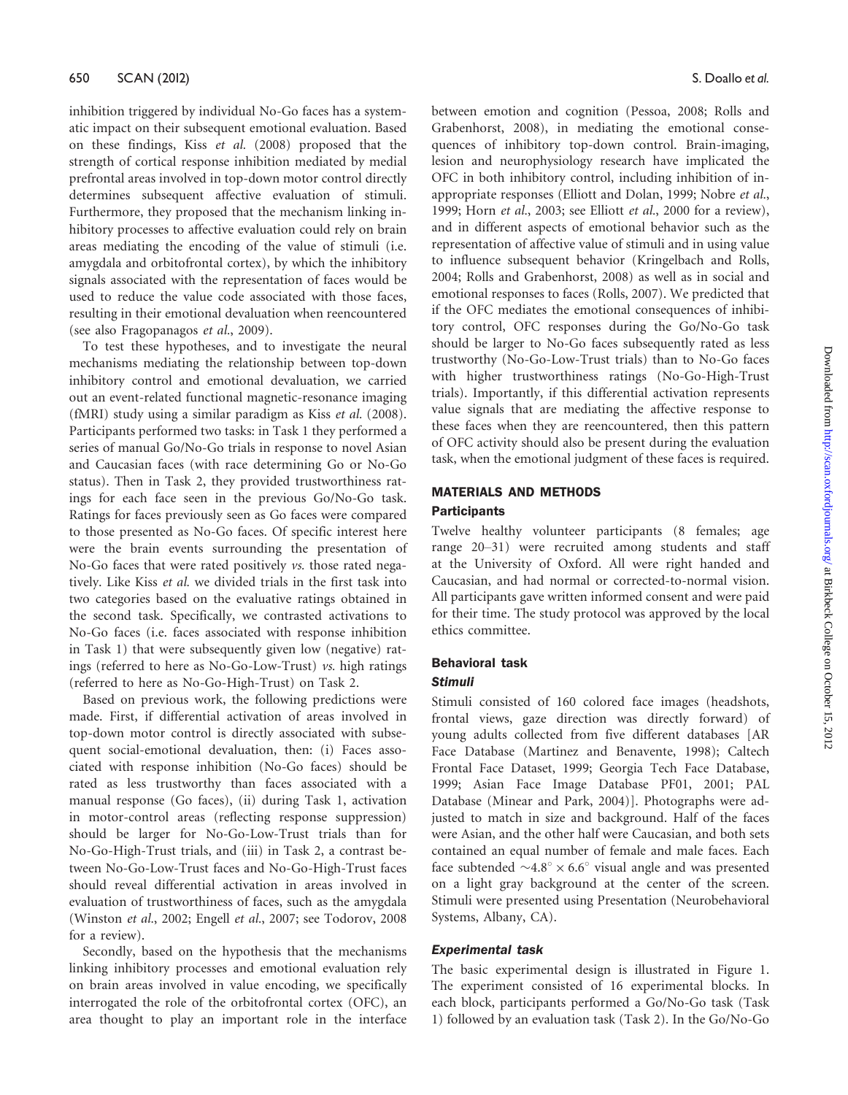inhibition triggered by individual No-Go faces has a systematic impact on their subsequent emotional evaluation. Based on these findings, Kiss et al. (2008) proposed that the strength of cortical response inhibition mediated by medial prefrontal areas involved in top-down motor control directly determines subsequent affective evaluation of stimuli. Furthermore, they proposed that the mechanism linking inhibitory processes to affective evaluation could rely on brain areas mediating the encoding of the value of stimuli (i.e. amygdala and orbitofrontal cortex), by which the inhibitory signals associated with the representation of faces would be used to reduce the value code associated with those faces, resulting in their emotional devaluation when reencountered (see also Fragopanagos et al., 2009).

To test these hypotheses, and to investigate the neural mechanisms mediating the relationship between top-down inhibitory control and emotional devaluation, we carried out an event-related functional magnetic-resonance imaging (fMRI) study using a similar paradigm as Kiss et al. (2008). Participants performed two tasks: in Task 1 they performed a series of manual Go/No-Go trials in response to novel Asian and Caucasian faces (with race determining Go or No-Go status). Then in Task 2, they provided trustworthiness ratings for each face seen in the previous Go/No-Go task. Ratings for faces previously seen as Go faces were compared to those presented as No-Go faces. Of specific interest here were the brain events surrounding the presentation of No-Go faces that were rated positively vs. those rated negatively. Like Kiss et al. we divided trials in the first task into two categories based on the evaluative ratings obtained in the second task. Specifically, we contrasted activations to No-Go faces (i.e. faces associated with response inhibition in Task 1) that were subsequently given low (negative) ratings (referred to here as No-Go-Low-Trust) vs. high ratings (referred to here as No-Go-High-Trust) on Task 2.

Based on previous work, the following predictions were made. First, if differential activation of areas involved in top-down motor control is directly associated with subsequent social-emotional devaluation, then: (i) Faces associated with response inhibition (No-Go faces) should be rated as less trustworthy than faces associated with a manual response (Go faces), (ii) during Task 1, activation in motor-control areas (reflecting response suppression) should be larger for No-Go-Low-Trust trials than for No-Go-High-Trust trials, and (iii) in Task 2, a contrast between No-Go-Low-Trust faces and No-Go-High-Trust faces should reveal differential activation in areas involved in evaluation of trustworthiness of faces, such as the amygdala (Winston et al., 2002; Engell et al., 2007; see Todorov, 2008 for a review).

Secondly, based on the hypothesis that the mechanisms linking inhibitory processes and emotional evaluation rely on brain areas involved in value encoding, we specifically interrogated the role of the orbitofrontal cortex (OFC), an area thought to play an important role in the interface

between emotion and cognition (Pessoa, 2008; Rolls and Grabenhorst, 2008), in mediating the emotional consequences of inhibitory top-down control. Brain-imaging, lesion and neurophysiology research have implicated the OFC in both inhibitory control, including inhibition of inappropriate responses (Elliott and Dolan, 1999; Nobre et al., 1999; Horn et al., 2003; see Elliott et al., 2000 for a review), and in different aspects of emotional behavior such as the representation of affective value of stimuli and in using value to influence subsequent behavior (Kringelbach and Rolls, 2004; Rolls and Grabenhorst, 2008) as well as in social and emotional responses to faces (Rolls, 2007). We predicted that if the OFC mediates the emotional consequences of inhibitory control, OFC responses during the Go/No-Go task should be larger to No-Go faces subsequently rated as less trustworthy (No-Go-Low-Trust trials) than to No-Go faces with higher trustworthiness ratings (No-Go-High-Trust trials). Importantly, if this differential activation represents value signals that are mediating the affective response to these faces when they are reencountered, then this pattern of OFC activity should also be present during the evaluation task, when the emotional judgment of these faces is required.

## MATERIALS AND METHODS

## **Participants**

Twelve healthy volunteer participants (8 females; age range 20–31) were recruited among students and staff at the University of Oxford. All were right handed and Caucasian, and had normal or corrected-to-normal vision. All participants gave written informed consent and were paid for their time. The study protocol was approved by the local ethics committee.

## Behavioral task

## Stimuli

Stimuli consisted of 160 colored face images (headshots, frontal views, gaze direction was directly forward) of young adults collected from five different databases [AR Face Database (Martinez and Benavente, 1998); Caltech Frontal Face Dataset, 1999; Georgia Tech Face Database, 1999; Asian Face Image Database PF01, 2001; PAL Database (Minear and Park, 2004)]. Photographs were adjusted to match in size and background. Half of the faces were Asian, and the other half were Caucasian, and both sets contained an equal number of female and male faces. Each face subtended  $\sim 4.8^{\circ} \times 6.6^{\circ}$  visual angle and was presented on a light gray background at the center of the screen. Stimuli were presented using Presentation (Neurobehavioral Systems, Albany, CA).

## Experimental task

The basic experimental design is illustrated in Figure 1. The experiment consisted of 16 experimental blocks. In each block, participants performed a Go/No-Go task (Task 1) followed by an evaluation task (Task 2). In the Go/No-Go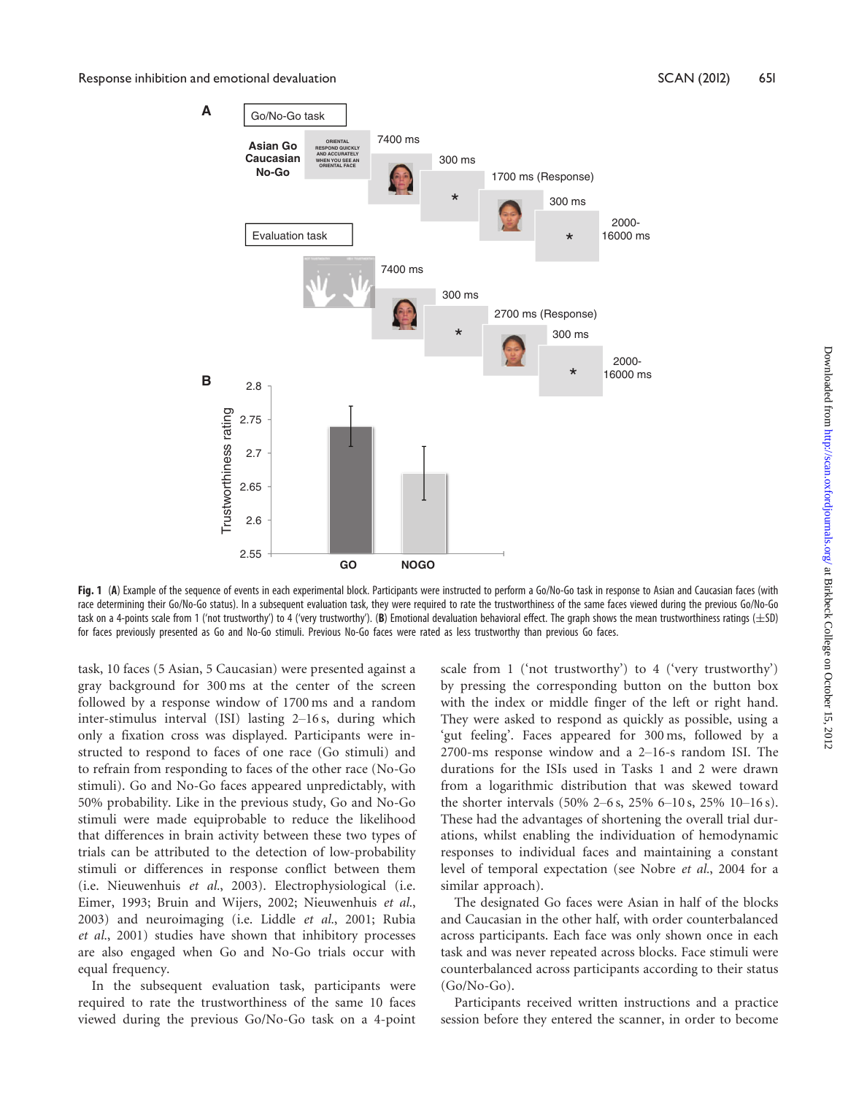#### Response inhibition and emotional devaluation New York SCAN (2012) 651 (1992) 651



Fig. 1 (A) Example of the sequence of events in each experimental block. Participants were instructed to perform a Go/No-Go task in response to Asian and Caucasian faces (with race determining their Go/No-Go status). In a subsequent evaluation task, they were required to rate the trustworthiness of the same faces viewed during the previous Go/No-Go task on a 4-points scale from 1 ('not trustworthy') to 4 ('very trustworthy'). (B) Emotional devaluation behavioral effect. The graph shows the mean trustworthiness ratings ( $\pm$ SD) for faces previously presented as Go and No-Go stimuli. Previous No-Go faces were rated as less trustworthy than previous Go faces.

task, 10 faces (5 Asian, 5 Caucasian) were presented against a gray background for 300 ms at the center of the screen followed by a response window of 1700 ms and a random inter-stimulus interval (ISI) lasting 2–16 s, during which only a fixation cross was displayed. Participants were instructed to respond to faces of one race (Go stimuli) and to refrain from responding to faces of the other race (No-Go stimuli). Go and No-Go faces appeared unpredictably, with 50% probability. Like in the previous study, Go and No-Go stimuli were made equiprobable to reduce the likelihood that differences in brain activity between these two types of trials can be attributed to the detection of low-probability stimuli or differences in response conflict between them (i.e. Nieuwenhuis et al., 2003). Electrophysiological (i.e. Eimer, 1993; Bruin and Wijers, 2002; Nieuwenhuis et al., 2003) and neuroimaging (i.e. Liddle et al., 2001; Rubia et al., 2001) studies have shown that inhibitory processes are also engaged when Go and No-Go trials occur with equal frequency.

In the subsequent evaluation task, participants were required to rate the trustworthiness of the same 10 faces viewed during the previous Go/No-Go task on a 4-point scale from 1 ('not trustworthy') to 4 ('very trustworthy') by pressing the corresponding button on the button box with the index or middle finger of the left or right hand. They were asked to respond as quickly as possible, using a 'gut feeling'. Faces appeared for 300 ms, followed by a 2700-ms response window and a 2–16-s random ISI. The durations for the ISIs used in Tasks 1 and 2 were drawn from a logarithmic distribution that was skewed toward the shorter intervals (50% 2–6 s, 25% 6–10 s, 25% 10–16 s). These had the advantages of shortening the overall trial durations, whilst enabling the individuation of hemodynamic responses to individual faces and maintaining a constant level of temporal expectation (see Nobre et al., 2004 for a similar approach).

The designated Go faces were Asian in half of the blocks and Caucasian in the other half, with order counterbalanced across participants. Each face was only shown once in each task and was never repeated across blocks. Face stimuli were counterbalanced across participants according to their status  $(Go/No-Go)$ .

Participants received written instructions and a practice session before they entered the scanner, in order to become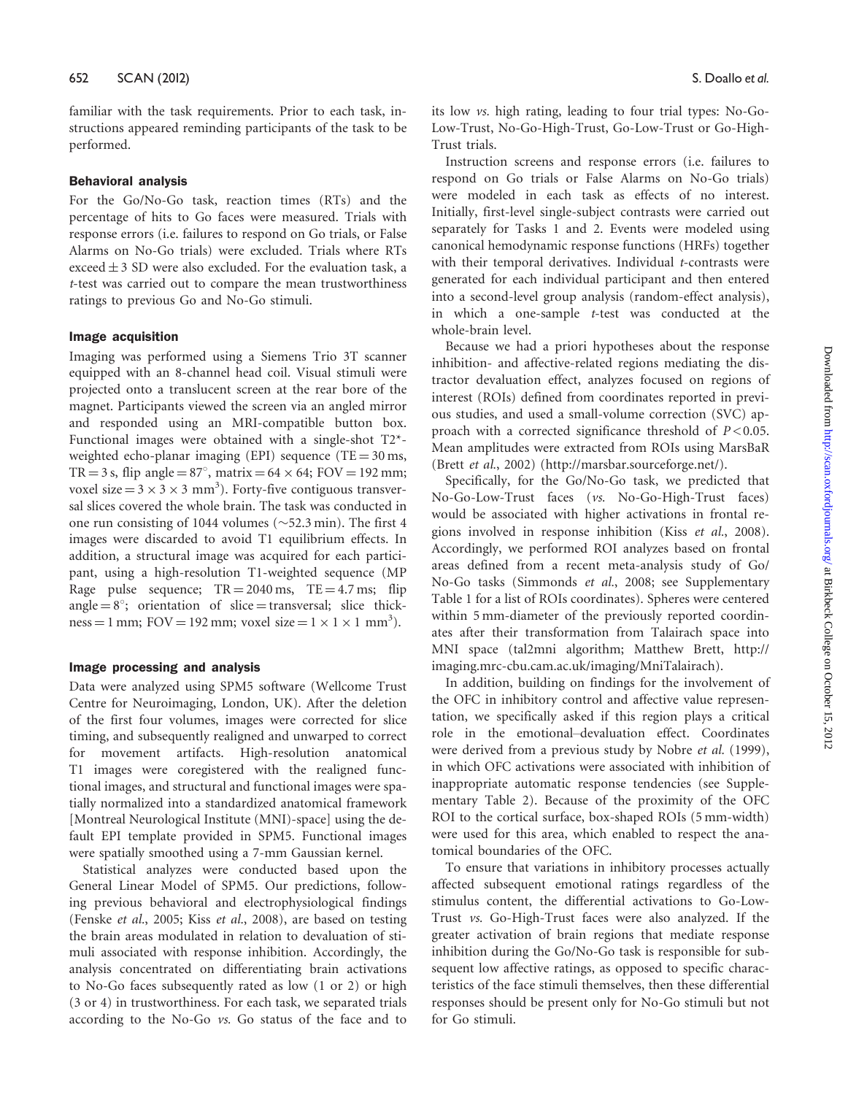familiar with the task requirements. Prior to each task, instructions appeared reminding participants of the task to be performed.

## Behavioral analysis

For the Go/No-Go task, reaction times (RTs) and the percentage of hits to Go faces were measured. Trials with response errors (i.e. failures to respond on Go trials, or False Alarms on No-Go trials) were excluded. Trials where RTs exceed  $\pm$  3 SD were also excluded. For the evaluation task, a t-test was carried out to compare the mean trustworthiness ratings to previous Go and No-Go stimuli.

## Image acquisition

Imaging was performed using a Siemens Trio 3T scanner equipped with an 8-channel head coil. Visual stimuli were projected onto a translucent screen at the rear bore of the magnet. Participants viewed the screen via an angled mirror and responded using an MRI-compatible button box. Functional images were obtained with a single-shot T2\* weighted echo-planar imaging (EPI) sequence (TE =  $30 \text{ ms}$ , TR = 3 s, flip angle =  $87^\circ$ , matrix =  $64 \times 64$ ; FOV = 192 mm; voxel size =  $3 \times 3 \times 3$  mm<sup>3</sup>). Forty-five contiguous transversal slices covered the whole brain. The task was conducted in one run consisting of 1044 volumes ( $\sim$ 52.3 min). The first 4 images were discarded to avoid T1 equilibrium effects. In addition, a structural image was acquired for each participant, using a high-resolution T1-weighted sequence (MP Rage pulse sequence;  $TR = 2040$  ms,  $TE = 4.7$  ms; flip angle  $= 8^\circ$ ; orientation of slice  $=$  transversal; slice thickness = 1 mm; FOV = 192 mm; voxel size =  $1 \times 1 \times 1$  mm<sup>3</sup>).

## Image processing and analysis

Data were analyzed using SPM5 software (Wellcome Trust Centre for Neuroimaging, London, UK). After the deletion of the first four volumes, images were corrected for slice timing, and subsequently realigned and unwarped to correct for movement artifacts. High-resolution anatomical T1 images were coregistered with the realigned functional images, and structural and functional images were spatially normalized into a standardized anatomical framework [Montreal Neurological Institute (MNI)-space] using the default EPI template provided in SPM5. Functional images were spatially smoothed using a 7-mm Gaussian kernel.

Statistical analyzes were conducted based upon the General Linear Model of SPM5. Our predictions, following previous behavioral and electrophysiological findings (Fenske et al., 2005; Kiss et al., 2008), are based on testing the brain areas modulated in relation to devaluation of stimuli associated with response inhibition. Accordingly, the analysis concentrated on differentiating brain activations to No-Go faces subsequently rated as low (1 or 2) or high (3 or 4) in trustworthiness. For each task, we separated trials according to the No-Go vs. Go status of the face and to

its low vs. high rating, leading to four trial types: No-Go-Low-Trust, No-Go-High-Trust, Go-Low-Trust or Go-High-Trust trials.

Instruction screens and response errors (i.e. failures to respond on Go trials or False Alarms on No-Go trials) were modeled in each task as effects of no interest. Initially, first-level single-subject contrasts were carried out separately for Tasks 1 and 2. Events were modeled using canonical hemodynamic response functions (HRFs) together with their temporal derivatives. Individual *t*-contrasts were generated for each individual participant and then entered into a second-level group analysis (random-effect analysis), in which a one-sample t-test was conducted at the whole-brain level.

Because we had a priori hypotheses about the response inhibition- and affective-related regions mediating the distractor devaluation effect, analyzes focused on regions of interest (ROIs) defined from coordinates reported in previous studies, and used a small-volume correction (SVC) approach with a corrected significance threshold of  $P < 0.05$ . Mean amplitudes were extracted from ROIs using MarsBaR (Brett et al., 2002) (http://marsbar.sourceforge.net/).

Specifically, for the Go/No-Go task, we predicted that No-Go-Low-Trust faces (vs. No-Go-High-Trust faces) would be associated with higher activations in frontal regions involved in response inhibition (Kiss et al., 2008). Accordingly, we performed ROI analyzes based on frontal areas defined from a recent meta-analysis study of Go/ No-Go tasks (Simmonds et al., 2008; see Supplementary Table 1 for a list of ROIs coordinates). Spheres were centered within 5 mm-diameter of the previously reported coordinates after their transformation from Talairach space into MNI space (tal2mni algorithm; Matthew Brett, http:// imaging.mrc-cbu.cam.ac.uk/imaging/MniTalairach).

In addition, building on findings for the involvement of the OFC in inhibitory control and affective value representation, we specifically asked if this region plays a critical role in the emotional–devaluation effect. Coordinates were derived from a previous study by Nobre et al. (1999), in which OFC activations were associated with inhibition of inappropriate automatic response tendencies (see Supplementary Table 2). Because of the proximity of the OFC ROI to the cortical surface, box-shaped ROIs (5 mm-width) were used for this area, which enabled to respect the anatomical boundaries of the OFC.

To ensure that variations in inhibitory processes actually affected subsequent emotional ratings regardless of the stimulus content, the differential activations to Go-Low-Trust vs. Go-High-Trust faces were also analyzed. If the greater activation of brain regions that mediate response inhibition during the Go/No-Go task is responsible for subsequent low affective ratings, as opposed to specific characteristics of the face stimuli themselves, then these differential responses should be present only for No-Go stimuli but not for Go stimuli.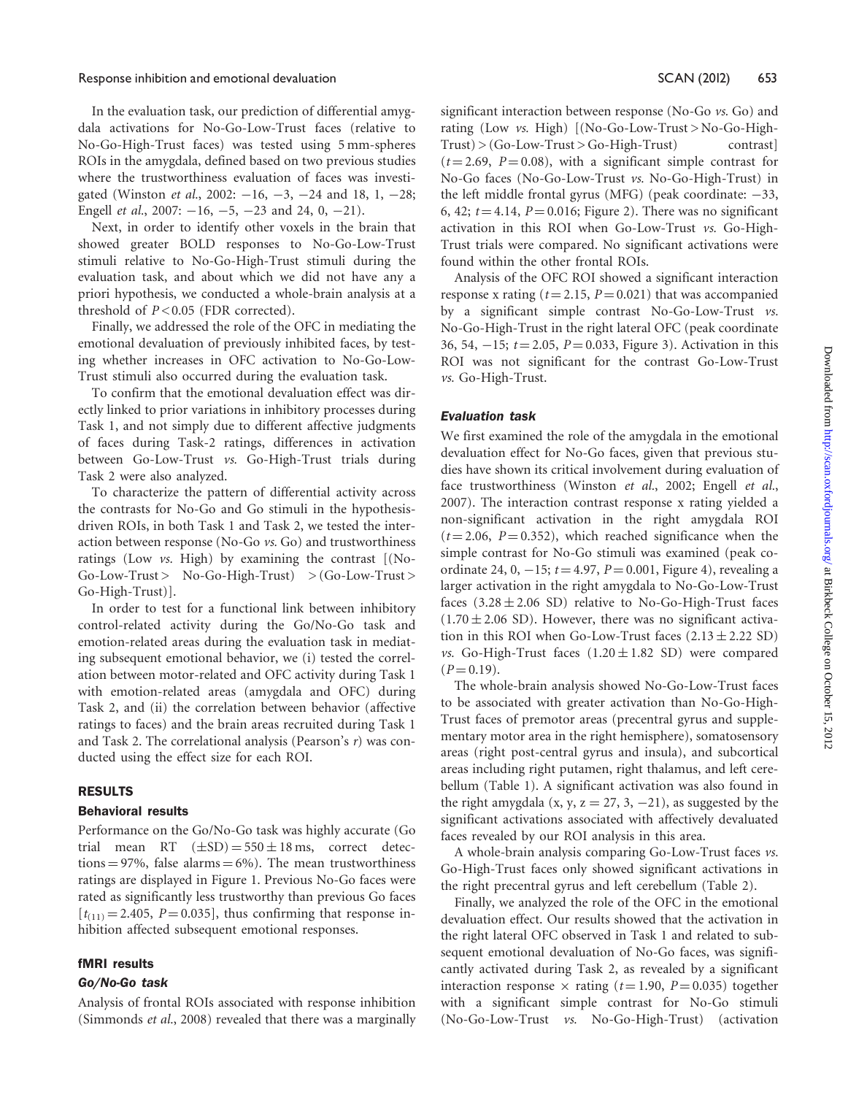#### Response inhibition and emotional devaluation New York SCAN (2012) 653

In the evaluation task, our prediction of differential amygdala activations for No-Go-Low-Trust faces (relative to No-Go-High-Trust faces) was tested using 5 mm-spheres ROIs in the amygdala, defined based on two previous studies where the trustworthiness evaluation of faces was investigated (Winston et al., 2002:  $-16$ ,  $-3$ ,  $-24$  and 18, 1,  $-28$ ; Engell *et al.*, 2007:  $-16$ ,  $-5$ ,  $-23$  and 24, 0,  $-21$ ).

Next, in order to identify other voxels in the brain that showed greater BOLD responses to No-Go-Low-Trust stimuli relative to No-Go-High-Trust stimuli during the evaluation task, and about which we did not have any a priori hypothesis, we conducted a whole-brain analysis at a threshold of  $P < 0.05$  (FDR corrected).

Finally, we addressed the role of the OFC in mediating the emotional devaluation of previously inhibited faces, by testing whether increases in OFC activation to No-Go-Low-Trust stimuli also occurred during the evaluation task.

To confirm that the emotional devaluation effect was directly linked to prior variations in inhibitory processes during Task 1, and not simply due to different affective judgments of faces during Task-2 ratings, differences in activation between Go-Low-Trust vs. Go-High-Trust trials during Task 2 were also analyzed.

To characterize the pattern of differential activity across the contrasts for No-Go and Go stimuli in the hypothesisdriven ROIs, in both Task 1 and Task 2, we tested the interaction between response (No-Go vs. Go) and trustworthiness ratings (Low vs. High) by examining the contrast [(No- $Go-Low-Trust > No-Go-High-Trust) > (Go-Low-Trust >$ Go-High-Trust)].

In order to test for a functional link between inhibitory control-related activity during the Go/No-Go task and emotion-related areas during the evaluation task in mediating subsequent emotional behavior, we (i) tested the correlation between motor-related and OFC activity during Task 1 with emotion-related areas (amygdala and OFC) during Task 2, and (ii) the correlation between behavior (affective ratings to faces) and the brain areas recruited during Task 1 and Task 2. The correlational analysis (Pearson's r) was conducted using the effect size for each ROI.

#### RESULTS

#### Behavioral results

Performance on the Go/No-Go task was highly accurate (Go trial mean RT  $(\pm SD) = 550 \pm 18$  ms, correct detections  $= 97\%$ , false alarms  $= 6\%$ ). The mean trustworthiness ratings are displayed in Figure 1. Previous No-Go faces were rated as significantly less trustworthy than previous Go faces  $[t_{(11)} = 2.405, P = 0.035]$ , thus confirming that response inhibition affected subsequent emotional responses.

#### fMRI results

#### Go/No-Go task

Analysis of frontal ROIs associated with response inhibition (Simmonds et al., 2008) revealed that there was a marginally significant interaction between response (No-Go vs. Go) and rating (Low vs. High) [(No-Go-Low-Trust > No-Go-High- $Trust$   $>(Go-Low-Trust > Go-High-Trust)$  contrast  $(t = 2.69, P = 0.08)$ , with a significant simple contrast for No-Go faces (No-Go-Low-Trust vs. No-Go-High-Trust) in the left middle frontal gyrus (MFG) (peak coordinate:  $-33$ , 6, 42;  $t = 4.14$ ,  $P = 0.016$ ; Figure 2). There was no significant activation in this ROI when Go-Low-Trust vs. Go-High-Trust trials were compared. No significant activations were found within the other frontal ROIs.

Analysis of the OFC ROI showed a significant interaction response x rating ( $t = 2.15$ ,  $P = 0.021$ ) that was accompanied by a significant simple contrast No-Go-Low-Trust vs. No-Go-High-Trust in the right lateral OFC (peak coordinate 36, 54,  $-15$ ;  $t = 2.05$ ,  $P = 0.033$ , Figure 3). Activation in this ROI was not significant for the contrast Go-Low-Trust vs. Go-High-Trust.

#### Evaluation task

We first examined the role of the amygdala in the emotional devaluation effect for No-Go faces, given that previous studies have shown its critical involvement during evaluation of face trustworthiness (Winston et al., 2002; Engell et al., 2007). The interaction contrast response x rating yielded a non-significant activation in the right amygdala ROI  $(t = 2.06, P = 0.352)$ , which reached significance when the simple contrast for No-Go stimuli was examined (peak coordinate 24, 0,  $-15$ ;  $t = 4.97$ ,  $P = 0.001$ , Figure 4), revealing a larger activation in the right amygdala to No-Go-Low-Trust faces  $(3.28 \pm 2.06 \text{ SD})$  relative to No-Go-High-Trust faces  $(1.70 \pm 2.06$  SD). However, there was no significant activation in this ROI when Go-Low-Trust faces  $(2.13 \pm 2.22$  SD) vs. Go-High-Trust faces  $(1.20 \pm 1.82 \text{ SD})$  were compared  $(P = 0.19)$ .

The whole-brain analysis showed No-Go-Low-Trust faces to be associated with greater activation than No-Go-High-Trust faces of premotor areas (precentral gyrus and supplementary motor area in the right hemisphere), somatosensory areas (right post-central gyrus and insula), and subcortical areas including right putamen, right thalamus, and left cerebellum (Table 1). A significant activation was also found in the right amygdala  $(x, y, z = 27, 3, -21)$ , as suggested by the significant activations associated with affectively devaluated faces revealed by our ROI analysis in this area.

A whole-brain analysis comparing Go-Low-Trust faces vs. Go-High-Trust faces only showed significant activations in the right precentral gyrus and left cerebellum (Table 2).

Finally, we analyzed the role of the OFC in the emotional devaluation effect. Our results showed that the activation in the right lateral OFC observed in Task 1 and related to subsequent emotional devaluation of No-Go faces, was significantly activated during Task 2, as revealed by a significant interaction response  $\times$  rating (t=1.90, P=0.035) together with a significant simple contrast for No-Go stimuli (No-Go-Low-Trust vs. No-Go-High-Trust) (activation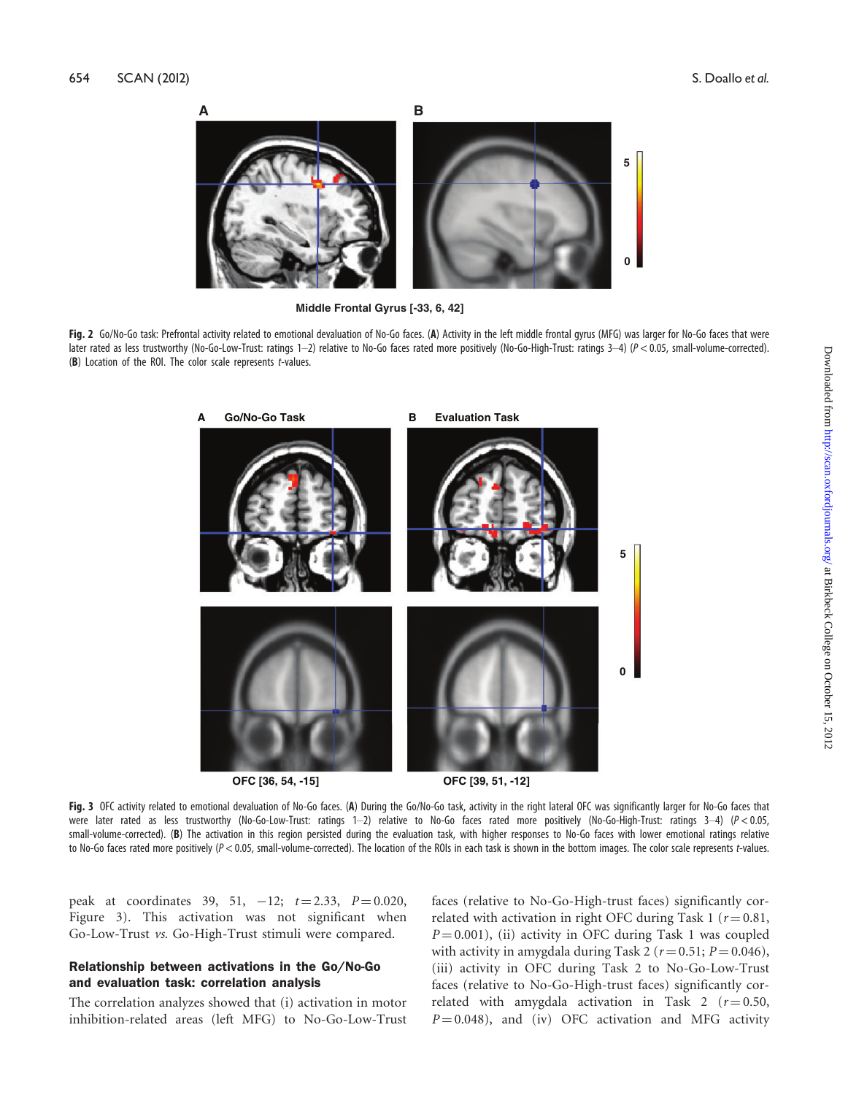

**Middle Frontal Gyrus [-33, 6, 42]** 

Fig. 2 Go/No-Go task: Prefrontal activity related to emotional devaluation of No-Go faces. (A) Activity in the left middle frontal gyrus (MFG) was larger for No-Go faces that were later rated as less trustworthy (No-Go-Low-Trust: ratings 1–2) relative to No-Go faces rated more positively (No-Go-High-Trust: ratings 3–4) (P < 0.05, small-volume-corrected). (B) Location of the ROI. The color scale represents  $t$ -values.



**OFC [36, 54, -15] OFC [39, 51, -12]**

Fig. 3 OFC activity related to emotional devaluation of No-Go faces. (A) During the Go/No-Go task, activity in the right lateral OFC was significantly larger for No-Go faces that were later rated as less trustworthy (No-Go-Low-Trust: ratings 1–2) relative to No-Go faces rated more positively (No-Go-High-Trust: ratings 3–4) (P < 0.05, small-volume-corrected). (B) The activation in this region persisted during the evaluation task, with higher responses to No-Go faces with lower emotional ratings relative to No-Go faces rated more positively (P < 0.05, small-volume-corrected). The location of the ROIs in each task is shown in the bottom images. The color scale represents t-values.

peak at coordinates 39, 51,  $-12$ ;  $t = 2.33$ ,  $P = 0.020$ , Figure 3). This activation was not significant when Go-Low-Trust vs. Go-High-Trust stimuli were compared.

## Relationship between activations in the Go/No-Go and evaluation task: correlation analysis

The correlation analyzes showed that (i) activation in motor inhibition-related areas (left MFG) to No-Go-Low-Trust

faces (relative to No-Go-High-trust faces) significantly correlated with activation in right OFC during Task 1 ( $r = 0.81$ ,  $P = 0.001$ ), (ii) activity in OFC during Task 1 was coupled with activity in amygdala during Task 2 ( $r = 0.51$ ;  $P = 0.046$ ), (iii) activity in OFC during Task 2 to No-Go-Low-Trust faces (relative to No-Go-High-trust faces) significantly correlated with amygdala activation in Task 2 ( $r = 0.50$ ,  $P = 0.048$ ), and (iv) OFC activation and MFG activity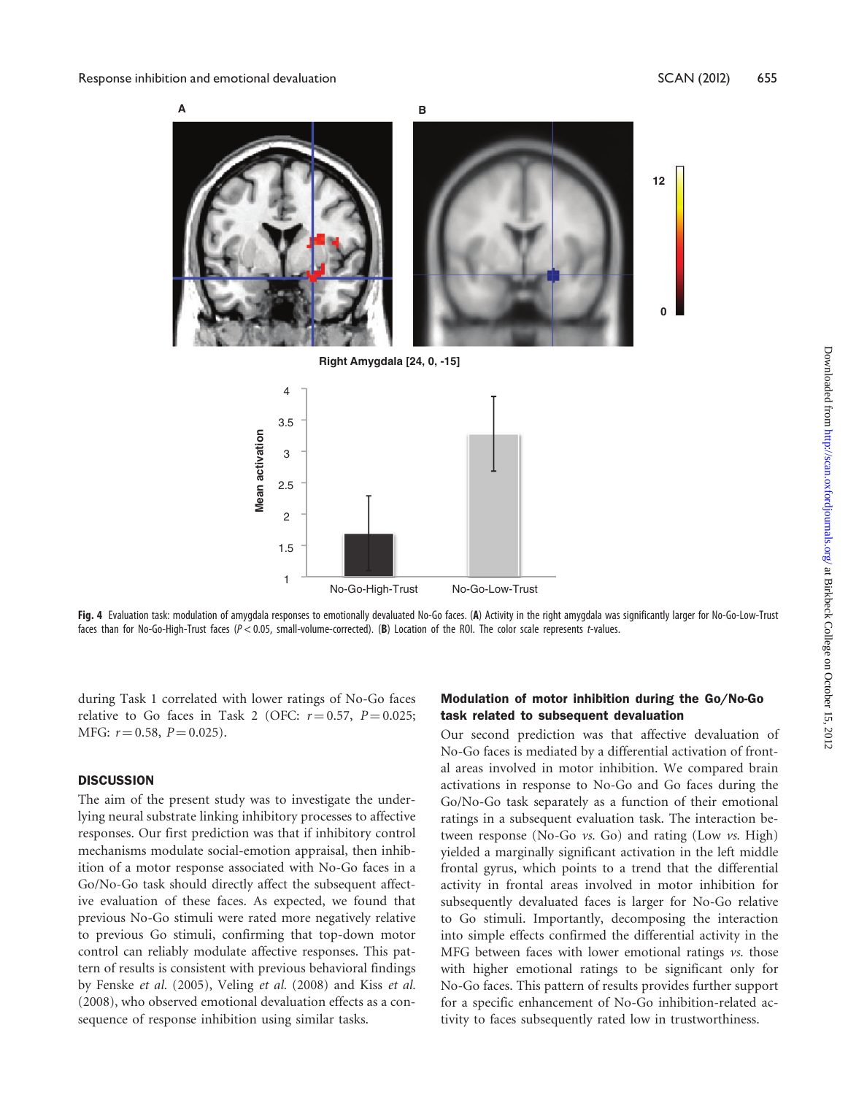

Fig. 4 Evaluation task: modulation of amygdala responses to emotionally devaluated No-Go faces. (A) Activity in the right amygdala was significantly larger for No-Go-Low-Trust faces than for No-Go-High-Trust faces (P < 0.05, small-volume-corrected). (B) Location of the ROI. The color scale represents t-values.

No-Go-High-Trust No-Go-Low-Trust

during Task 1 correlated with lower ratings of No-Go faces relative to Go faces in Task 2 (OFC:  $r = 0.57$ ,  $P = 0.025$ ; MFG:  $r = 0.58$ ,  $P = 0.025$ ).

## **DISCUSSION**

The aim of the present study was to investigate the underlying neural substrate linking inhibitory processes to affective responses. Our first prediction was that if inhibitory control mechanisms modulate social-emotion appraisal, then inhibition of a motor response associated with No-Go faces in a Go/No-Go task should directly affect the subsequent affective evaluation of these faces. As expected, we found that previous No-Go stimuli were rated more negatively relative to previous Go stimuli, confirming that top-down motor control can reliably modulate affective responses. This pattern of results is consistent with previous behavioral findings by Fenske et al. (2005), Veling et al. (2008) and Kiss et al. (2008), who observed emotional devaluation effects as a consequence of response inhibition using similar tasks.

## Modulation of motor inhibition during the Go/No-Go task related to subsequent devaluation

Our second prediction was that affective devaluation of No-Go faces is mediated by a differential activation of frontal areas involved in motor inhibition. We compared brain activations in response to No-Go and Go faces during the Go/No-Go task separately as a function of their emotional ratings in a subsequent evaluation task. The interaction between response (No-Go  $\nu s$ . Go) and rating (Low  $\nu s$ . High) yielded a marginally significant activation in the left middle frontal gyrus, which points to a trend that the differential activity in frontal areas involved in motor inhibition for subsequently devaluated faces is larger for No-Go relative to Go stimuli. Importantly, decomposing the interaction into simple effects confirmed the differential activity in the MFG between faces with lower emotional ratings  $v$ s. those with higher emotional ratings to be significant only for No-Go faces. This pattern of results provides further support for a specific enhancement of No-Go inhibition-related activity to faces subsequently rated low in trustworthiness.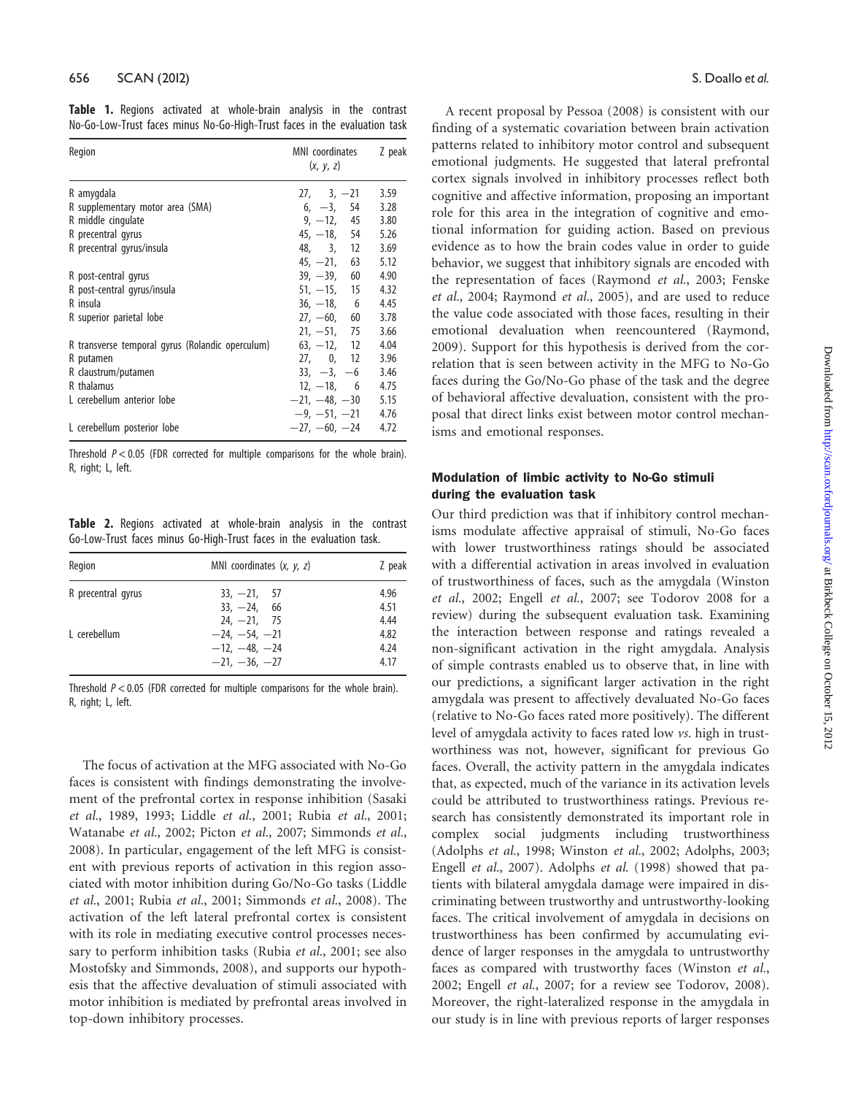|  |  |  | Table 1. Regions activated at whole-brain analysis in the contrast        |  |  |  |
|--|--|--|---------------------------------------------------------------------------|--|--|--|
|  |  |  | No-Go-Low-Trust faces minus No-Go-High-Trust faces in the evaluation task |  |  |  |

| Region                                           | MNI coordinates<br>(x, y, z) | Z peak |  |
|--------------------------------------------------|------------------------------|--------|--|
| R amygdala                                       | $27, 3, -21$                 | 3.59   |  |
| R supplementary motor area (SMA)                 | $6, -3, 54$                  | 3.28   |  |
| R middle cingulate                               | $9, -12, 45$                 | 3.80   |  |
| R precentral gyrus                               | $45, -18, 54$                | 5.26   |  |
| R precentral gyrus/insula                        | 48, 3, 12                    | 3.69   |  |
|                                                  | $45, -21, 63$                | 5.12   |  |
| R post-central gyrus                             | $39, -39, 60$                | 4.90   |  |
| R post-central gyrus/insula                      | $51, -15, 15$                | 4.32   |  |
| R insula                                         | $36, -18, 6$                 | 4.45   |  |
| R superior parietal lobe                         | $27, -60, 60$                | 3.78   |  |
|                                                  | $21, -51, 75$                | 3.66   |  |
| R transverse temporal gyrus (Rolandic operculum) | $63, -12, 12$                | 4.04   |  |
| R putamen                                        | 27, 0, 12                    | 3.96   |  |
| R claustrum/putamen                              | $33, -3, -6$                 | 3.46   |  |
| R thalamus                                       | $12, -18, 6$                 | 4.75   |  |
| L cerebellum anterior lobe                       | $-21, -48, -30$              | 5.15   |  |
|                                                  | $-9, -51, -21$               | 4.76   |  |
| L cerebellum posterior lobe                      | $-27, -60, -24$              | 4.72   |  |

Threshold  $P < 0.05$  (FDR corrected for multiple comparisons for the whole brain). R, right; L, left.

Table 2. Regions activated at whole-brain analysis in the contrast Go-Low-Trust faces minus Go-High-Trust faces in the evaluation task.

| MNI coordinates $(x, y, z)$ | Z peak |
|-----------------------------|--------|
| $33, -21, 57$               | 4.96   |
| $33, -24,$<br>-66           | 4.51   |
| $24. -21, 75$               | 4.44   |
| $-24, -54, -21$             | 4.82   |
| $-12, -48, -24$             | 4.24   |
| $-21, -36, -27$             | 4.17   |
|                             |        |

Threshold  $P < 0.05$  (FDR corrected for multiple comparisons for the whole brain). R, right; L, left.

The focus of activation at the MFG associated with No-Go faces is consistent with findings demonstrating the involvement of the prefrontal cortex in response inhibition (Sasaki et al., 1989, 1993; Liddle et al., 2001; Rubia et al., 2001; Watanabe et al., 2002; Picton et al., 2007; Simmonds et al., 2008). In particular, engagement of the left MFG is consistent with previous reports of activation in this region associated with motor inhibition during Go/No-Go tasks (Liddle et al., 2001; Rubia et al., 2001; Simmonds et al., 2008). The activation of the left lateral prefrontal cortex is consistent with its role in mediating executive control processes necessary to perform inhibition tasks (Rubia et al., 2001; see also Mostofsky and Simmonds, 2008), and supports our hypothesis that the affective devaluation of stimuli associated with motor inhibition is mediated by prefrontal areas involved in top-down inhibitory processes.

A recent proposal by Pessoa (2008) is consistent with our finding of a systematic covariation between brain activation patterns related to inhibitory motor control and subsequent emotional judgments. He suggested that lateral prefrontal cortex signals involved in inhibitory processes reflect both cognitive and affective information, proposing an important role for this area in the integration of cognitive and emotional information for guiding action. Based on previous evidence as to how the brain codes value in order to guide behavior, we suggest that inhibitory signals are encoded with the representation of faces (Raymond et al., 2003; Fenske et al., 2004; Raymond et al., 2005), and are used to reduce the value code associated with those faces, resulting in their emotional devaluation when reencountered (Raymond, 2009). Support for this hypothesis is derived from the correlation that is seen between activity in the MFG to No-Go faces during the Go/No-Go phase of the task and the degree of behavioral affective devaluation, consistent with the proposal that direct links exist between motor control mechanisms and emotional responses.

# Modulation of limbic activity to No-Go stimuli during the evaluation task

Our third prediction was that if inhibitory control mechanisms modulate affective appraisal of stimuli, No-Go faces with lower trustworthiness ratings should be associated with a differential activation in areas involved in evaluation of trustworthiness of faces, such as the amygdala (Winston et al., 2002; Engell et al., 2007; see Todorov 2008 for a review) during the subsequent evaluation task. Examining the interaction between response and ratings revealed a non-significant activation in the right amygdala. Analysis of simple contrasts enabled us to observe that, in line with our predictions, a significant larger activation in the right amygdala was present to affectively devaluated No-Go faces (relative to No-Go faces rated more positively). The different level of amygdala activity to faces rated low vs. high in trustworthiness was not, however, significant for previous Go faces. Overall, the activity pattern in the amygdala indicates that, as expected, much of the variance in its activation levels could be attributed to trustworthiness ratings. Previous research has consistently demonstrated its important role in complex social judgments including trustworthiness (Adolphs et al., 1998; Winston et al., 2002; Adolphs, 2003; Engell et al., 2007). Adolphs et al. (1998) showed that patients with bilateral amygdala damage were impaired in discriminating between trustworthy and untrustworthy-looking faces. The critical involvement of amygdala in decisions on trustworthiness has been confirmed by accumulating evidence of larger responses in the amygdala to untrustworthy faces as compared with trustworthy faces (Winston et al., 2002; Engell et al., 2007; for a review see Todorov, 2008). Moreover, the right-lateralized response in the amygdala in our study is in line with previous reports of larger responses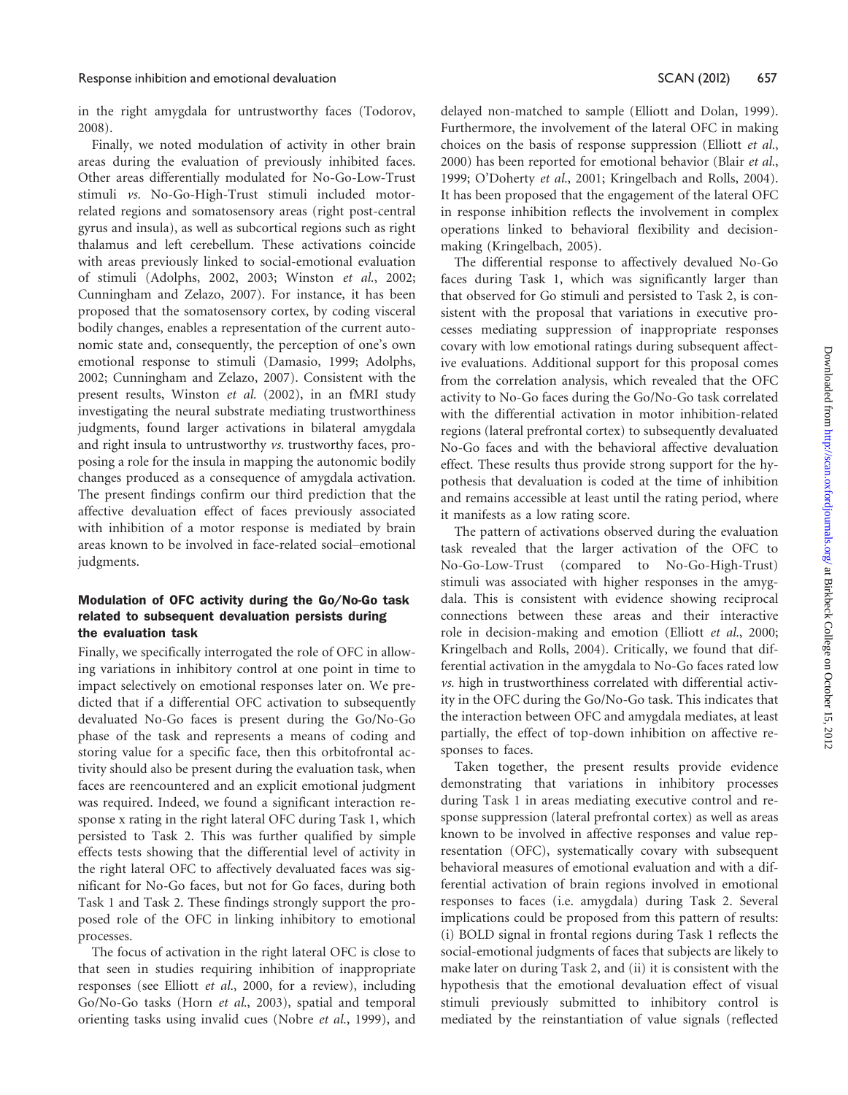in the right amygdala for untrustworthy faces (Todorov, 2008).

Finally, we noted modulation of activity in other brain areas during the evaluation of previously inhibited faces. Other areas differentially modulated for No-Go-Low-Trust stimuli vs. No-Go-High-Trust stimuli included motorrelated regions and somatosensory areas (right post-central gyrus and insula), as well as subcortical regions such as right thalamus and left cerebellum. These activations coincide with areas previously linked to social-emotional evaluation of stimuli (Adolphs, 2002, 2003; Winston et al., 2002; Cunningham and Zelazo, 2007). For instance, it has been proposed that the somatosensory cortex, by coding visceral bodily changes, enables a representation of the current autonomic state and, consequently, the perception of one's own emotional response to stimuli (Damasio, 1999; Adolphs, 2002; Cunningham and Zelazo, 2007). Consistent with the present results, Winston et al. (2002), in an fMRI study investigating the neural substrate mediating trustworthiness judgments, found larger activations in bilateral amygdala and right insula to untrustworthy vs. trustworthy faces, proposing a role for the insula in mapping the autonomic bodily changes produced as a consequence of amygdala activation. The present findings confirm our third prediction that the affective devaluation effect of faces previously associated with inhibition of a motor response is mediated by brain areas known to be involved in face-related social–emotional judgments.

# Modulation of OFC activity during the Go/No-Go task related to subsequent devaluation persists during the evaluation task

Finally, we specifically interrogated the role of OFC in allowing variations in inhibitory control at one point in time to impact selectively on emotional responses later on. We predicted that if a differential OFC activation to subsequently devaluated No-Go faces is present during the Go/No-Go phase of the task and represents a means of coding and storing value for a specific face, then this orbitofrontal activity should also be present during the evaluation task, when faces are reencountered and an explicit emotional judgment was required. Indeed, we found a significant interaction response x rating in the right lateral OFC during Task 1, which persisted to Task 2. This was further qualified by simple effects tests showing that the differential level of activity in the right lateral OFC to affectively devaluated faces was significant for No-Go faces, but not for Go faces, during both Task 1 and Task 2. These findings strongly support the proposed role of the OFC in linking inhibitory to emotional processes.

The focus of activation in the right lateral OFC is close to that seen in studies requiring inhibition of inappropriate responses (see Elliott et al., 2000, for a review), including Go/No-Go tasks (Horn et al., 2003), spatial and temporal orienting tasks using invalid cues (Nobre et al., 1999), and delayed non-matched to sample (Elliott and Dolan, 1999). Furthermore, the involvement of the lateral OFC in making choices on the basis of response suppression (Elliott et al., 2000) has been reported for emotional behavior (Blair et al., 1999; O'Doherty et al., 2001; Kringelbach and Rolls, 2004). It has been proposed that the engagement of the lateral OFC in response inhibition reflects the involvement in complex operations linked to behavioral flexibility and decisionmaking (Kringelbach, 2005).

The differential response to affectively devalued No-Go faces during Task 1, which was significantly larger than that observed for Go stimuli and persisted to Task 2, is consistent with the proposal that variations in executive processes mediating suppression of inappropriate responses covary with low emotional ratings during subsequent affective evaluations. Additional support for this proposal comes from the correlation analysis, which revealed that the OFC activity to No-Go faces during the Go/No-Go task correlated with the differential activation in motor inhibition-related regions (lateral prefrontal cortex) to subsequently devaluated No-Go faces and with the behavioral affective devaluation effect. These results thus provide strong support for the hypothesis that devaluation is coded at the time of inhibition and remains accessible at least until the rating period, where it manifests as a low rating score.

The pattern of activations observed during the evaluation task revealed that the larger activation of the OFC to No-Go-Low-Trust (compared to No-Go-High-Trust) stimuli was associated with higher responses in the amygdala. This is consistent with evidence showing reciprocal connections between these areas and their interactive role in decision-making and emotion (Elliott et al., 2000; Kringelbach and Rolls, 2004). Critically, we found that differential activation in the amygdala to No-Go faces rated low vs. high in trustworthiness correlated with differential activity in the OFC during the Go/No-Go task. This indicates that the interaction between OFC and amygdala mediates, at least partially, the effect of top-down inhibition on affective responses to faces.

Taken together, the present results provide evidence demonstrating that variations in inhibitory processes during Task 1 in areas mediating executive control and response suppression (lateral prefrontal cortex) as well as areas known to be involved in affective responses and value representation (OFC), systematically covary with subsequent behavioral measures of emotional evaluation and with a differential activation of brain regions involved in emotional responses to faces (i.e. amygdala) during Task 2. Several implications could be proposed from this pattern of results: (i) BOLD signal in frontal regions during Task 1 reflects the social-emotional judgments of faces that subjects are likely to make later on during Task 2, and (ii) it is consistent with the hypothesis that the emotional devaluation effect of visual stimuli previously submitted to inhibitory control is mediated by the reinstantiation of value signals (reflected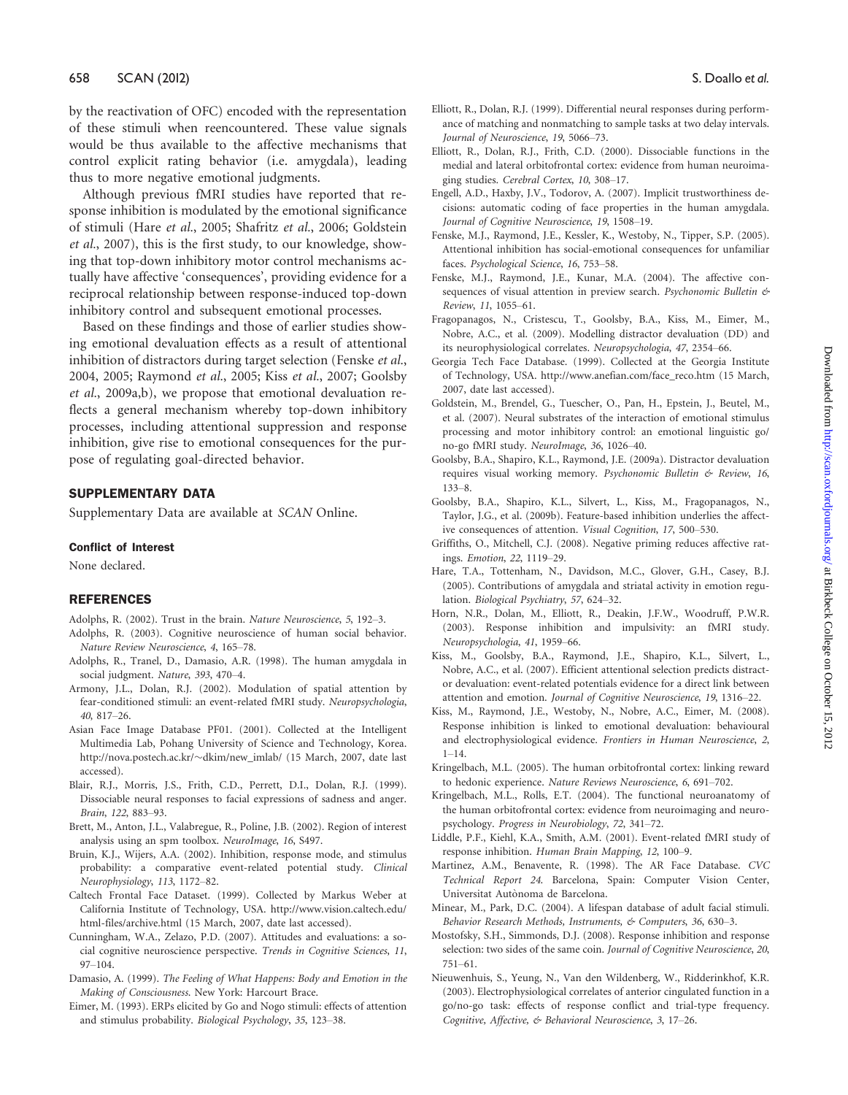by the reactivation of OFC) encoded with the representation of these stimuli when reencountered. These value signals would be thus available to the affective mechanisms that control explicit rating behavior (i.e. amygdala), leading thus to more negative emotional judgments.

Although previous fMRI studies have reported that response inhibition is modulated by the emotional significance of stimuli (Hare et al., 2005; Shafritz et al., 2006; Goldstein et al., 2007), this is the first study, to our knowledge, showing that top-down inhibitory motor control mechanisms actually have affective 'consequences', providing evidence for a reciprocal relationship between response-induced top-down inhibitory control and subsequent emotional processes.

Based on these findings and those of earlier studies showing emotional devaluation effects as a result of attentional inhibition of distractors during target selection (Fenske et al., 2004, 2005; Raymond et al., 2005; Kiss et al., 2007; Goolsby et al., 2009a,b), we propose that emotional devaluation reflects a general mechanism whereby top-down inhibitory processes, including attentional suppression and response inhibition, give rise to emotional consequences for the purpose of regulating goal-directed behavior.

# SUPPLEMENTARY DATA

Supplementary Data are available at SCAN Online.

#### Conflict of Interest

None declared.

## REFERENCES

- Adolphs, R. (2002). Trust in the brain. Nature Neuroscience, 5, 192–3.
- Adolphs, R. (2003). Cognitive neuroscience of human social behavior. Nature Review Neuroscience, 4, 165–78.
- Adolphs, R., Tranel, D., Damasio, A.R. (1998). The human amygdala in social judgment. Nature, 393, 470–4.
- Armony, J.L., Dolan, R.J. (2002). Modulation of spatial attention by fear-conditioned stimuli: an event-related fMRI study. Neuropsychologia, 40, 817–26.
- Asian Face Image Database PF01. (2001). Collected at the Intelligent Multimedia Lab, Pohang University of Science and Technology, Korea. http://nova.postech.ac.kr/~dkim/new\_imlab/ (15 March, 2007, date last accessed).
- Blair, R.J., Morris, J.S., Frith, C.D., Perrett, D.I., Dolan, R.J. (1999). Dissociable neural responses to facial expressions of sadness and anger. Brain, 122, 883–93.
- Brett, M., Anton, J.L., Valabregue, R., Poline, J.B. (2002). Region of interest analysis using an spm toolbox. NeuroImage, 16, S497.
- Bruin, K.J., Wijers, A.A. (2002). Inhibition, response mode, and stimulus probability: a comparative event-related potential study. Clinical Neurophysiology, 113, 1172–82.
- Caltech Frontal Face Dataset. (1999). Collected by Markus Weber at California Institute of Technology, USA. http://www.vision.caltech.edu/ html-files/archive.html (15 March, 2007, date last accessed).
- Cunningham, W.A., Zelazo, P.D. (2007). Attitudes and evaluations: a social cognitive neuroscience perspective. Trends in Cognitive Sciences, 11, 97–104.
- Damasio, A. (1999). The Feeling of What Happens: Body and Emotion in the Making of Consciousness. New York: Harcourt Brace.
- Eimer, M. (1993). ERPs elicited by Go and Nogo stimuli: effects of attention and stimulus probability. Biological Psychology, 35, 123–38.
- Elliott, R., Dolan, R.J. (1999). Differential neural responses during performance of matching and nonmatching to sample tasks at two delay intervals. Journal of Neuroscience, 19, 5066–73.
- Elliott, R., Dolan, R.J., Frith, C.D. (2000). Dissociable functions in the medial and lateral orbitofrontal cortex: evidence from human neuroimaging studies. Cerebral Cortex, 10, 308–17.
- Engell, A.D., Haxby, J.V., Todorov, A. (2007). Implicit trustworthiness decisions: automatic coding of face properties in the human amygdala. Journal of Cognitive Neuroscience, 19, 1508–19.
- Fenske, M.J., Raymond, J.E., Kessler, K., Westoby, N., Tipper, S.P. (2005). Attentional inhibition has social-emotional consequences for unfamiliar faces. Psychological Science, 16, 753–58.
- Fenske, M.J., Raymond, J.E., Kunar, M.A. (2004). The affective consequences of visual attention in preview search. Psychonomic Bulletin & Review, 11, 1055–61.
- Fragopanagos, N., Cristescu, T., Goolsby, B.A., Kiss, M., Eimer, M., Nobre, A.C., et al. (2009). Modelling distractor devaluation (DD) and its neurophysiological correlates. Neuropsychologia, 47, 2354–66.
- Georgia Tech Face Database. (1999). Collected at the Georgia Institute of Technology, USA. http://www.anefian.com/face\_reco.htm (15 March, 2007, date last accessed).
- Goldstein, M., Brendel, G., Tuescher, O., Pan, H., Epstein, J., Beutel, M., et al. (2007). Neural substrates of the interaction of emotional stimulus processing and motor inhibitory control: an emotional linguistic go/ no-go fMRI study. NeuroImage, 36, 1026–40.
- Goolsby, B.A., Shapiro, K.L., Raymond, J.E. (2009a). Distractor devaluation requires visual working memory. Psychonomic Bulletin & Review, 16, 133–8.
- Goolsby, B.A., Shapiro, K.L., Silvert, L., Kiss, M., Fragopanagos, N., Taylor, J.G., et al. (2009b). Feature-based inhibition underlies the affective consequences of attention. Visual Cognition, 17, 500–530.
- Griffiths, O., Mitchell, C.J. (2008). Negative priming reduces affective ratings. Emotion, 22, 1119–29.
- Hare, T.A., Tottenham, N., Davidson, M.C., Glover, G.H., Casey, B.J. (2005). Contributions of amygdala and striatal activity in emotion regulation. Biological Psychiatry, 57, 624–32.
- Horn, N.R., Dolan, M., Elliott, R., Deakin, J.F.W., Woodruff, P.W.R. (2003). Response inhibition and impulsivity: an fMRI study. Neuropsychologia, 41, 1959–66.
- Kiss, M., Goolsby, B.A., Raymond, J.E., Shapiro, K.L., Silvert, L., Nobre, A.C., et al. (2007). Efficient attentional selection predicts distractor devaluation: event-related potentials evidence for a direct link between attention and emotion. Journal of Cognitive Neuroscience, 19, 1316–22.
- Kiss, M., Raymond, J.E., Westoby, N., Nobre, A.C., Eimer, M. (2008). Response inhibition is linked to emotional devaluation: behavioural and electrophysiological evidence. Frontiers in Human Neuroscience, 2, 1–14.
- Kringelbach, M.L. (2005). The human orbitofrontal cortex: linking reward to hedonic experience. Nature Reviews Neuroscience, 6, 691–702.
- Kringelbach, M.L., Rolls, E.T. (2004). The functional neuroanatomy of the human orbitofrontal cortex: evidence from neuroimaging and neuropsychology. Progress in Neurobiology, 72, 341–72.
- Liddle, P.F., Kiehl, K.A., Smith, A.M. (2001). Event-related fMRI study of response inhibition. Human Brain Mapping, 12, 100–9.
- Martinez, A.M., Benavente, R. (1998). The AR Face Database. CVC Technical Report 24. Barcelona, Spain: Computer Vision Center, Universitat Autònoma de Barcelona.
- Minear, M., Park, D.C. (2004). A lifespan database of adult facial stimuli. Behavior Research Methods, Instruments, & Computers, 36, 630-3.
- Mostofsky, S.H., Simmonds, D.J. (2008). Response inhibition and response selection: two sides of the same coin. Journal of Cognitive Neuroscience, 20, 751–61.
- Nieuwenhuis, S., Yeung, N., Van den Wildenberg, W., Ridderinkhof, K.R. (2003). Electrophysiological correlates of anterior cingulated function in a go/no-go task: effects of response conflict and trial-type frequency. Cognitive, Affective, & Behavioral Neuroscience, 3, 17–26.